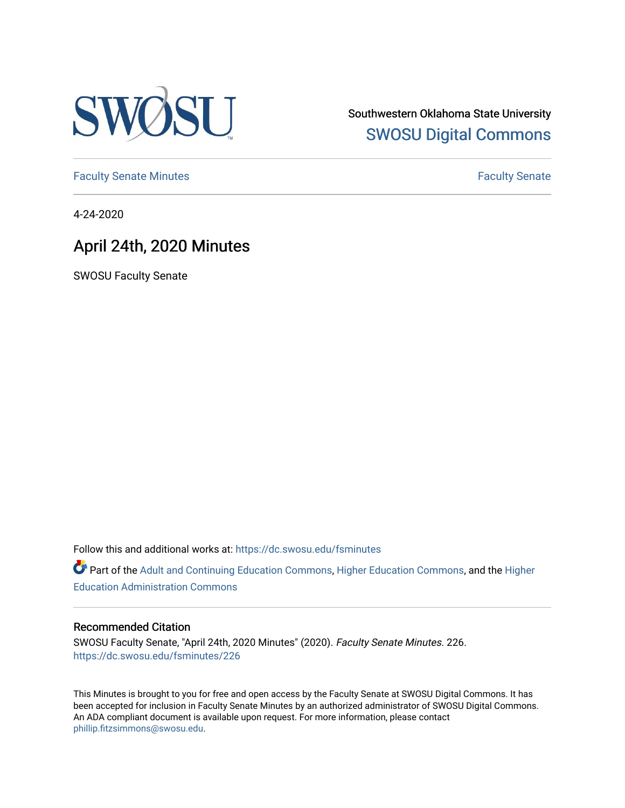

Southwestern Oklahoma State University [SWOSU Digital Commons](https://dc.swosu.edu/) 

[Faculty Senate Minutes](https://dc.swosu.edu/fsminutes) **Faculty** Senate Minutes

4-24-2020

## April 24th, 2020 Minutes

SWOSU Faculty Senate

Follow this and additional works at: [https://dc.swosu.edu/fsminutes](https://dc.swosu.edu/fsminutes?utm_source=dc.swosu.edu%2Ffsminutes%2F226&utm_medium=PDF&utm_campaign=PDFCoverPages) 

Part of the [Adult and Continuing Education Commons,](http://network.bepress.com/hgg/discipline/1375?utm_source=dc.swosu.edu%2Ffsminutes%2F226&utm_medium=PDF&utm_campaign=PDFCoverPages) [Higher Education Commons,](http://network.bepress.com/hgg/discipline/1245?utm_source=dc.swosu.edu%2Ffsminutes%2F226&utm_medium=PDF&utm_campaign=PDFCoverPages) and the [Higher](http://network.bepress.com/hgg/discipline/791?utm_source=dc.swosu.edu%2Ffsminutes%2F226&utm_medium=PDF&utm_campaign=PDFCoverPages) [Education Administration Commons](http://network.bepress.com/hgg/discipline/791?utm_source=dc.swosu.edu%2Ffsminutes%2F226&utm_medium=PDF&utm_campaign=PDFCoverPages) 

#### Recommended Citation

SWOSU Faculty Senate, "April 24th, 2020 Minutes" (2020). Faculty Senate Minutes. 226. [https://dc.swosu.edu/fsminutes/226](https://dc.swosu.edu/fsminutes/226?utm_source=dc.swosu.edu%2Ffsminutes%2F226&utm_medium=PDF&utm_campaign=PDFCoverPages) 

This Minutes is brought to you for free and open access by the Faculty Senate at SWOSU Digital Commons. It has been accepted for inclusion in Faculty Senate Minutes by an authorized administrator of SWOSU Digital Commons. An ADA compliant document is available upon request. For more information, please contact [phillip.fitzsimmons@swosu.edu](mailto:phillip.fitzsimmons@swosu.edu).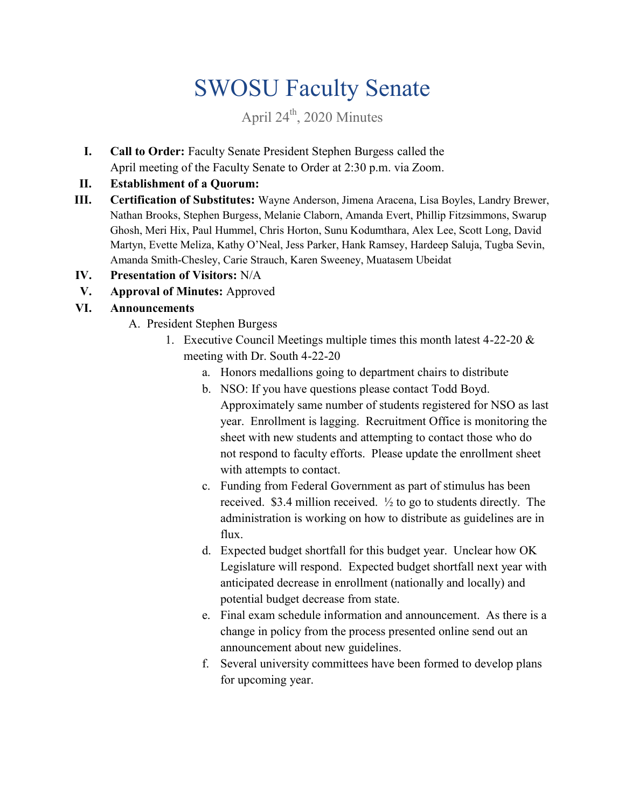# SWOSU Faculty Senate

# April  $24<sup>th</sup>$ , 2020 Minutes

**I. Call to Order:** Faculty Senate President Stephen Burgess called the April meeting of the Faculty Senate to Order at 2:30 p.m. via Zoom.

### **II. Establishment of a Quorum:**

- **III. Certification of Substitutes:** Wayne Anderson, Jimena Aracena, Lisa Boyles, Landry Brewer, Nathan Brooks, Stephen Burgess, Melanie Claborn, Amanda Evert, Phillip Fitzsimmons, Swarup Ghosh, Meri Hix, Paul Hummel, Chris Horton, Sunu Kodumthara, Alex Lee, Scott Long, David Martyn, Evette Meliza, Kathy O'Neal, Jess Parker, Hank Ramsey, Hardeep Saluja, Tugba Sevin, Amanda Smith-Chesley, Carie Strauch, Karen Sweeney, Muatasem Ubeidat
- **IV. Presentation of Visitors:** N/A
- **V. Approval of Minutes:** Approved

## **VI. Announcements**

- A. President Stephen Burgess
	- 1. Executive Council Meetings multiple times this month latest 4-22-20 & meeting with Dr. South 4-22-20
		- a. Honors medallions going to department chairs to distribute
		- b. NSO: If you have questions please contact Todd Boyd. Approximately same number of students registered for NSO as last year. Enrollment is lagging. Recruitment Office is monitoring the sheet with new students and attempting to contact those who do not respond to faculty efforts. Please update the enrollment sheet with attempts to contact.
		- c. Funding from Federal Government as part of stimulus has been received. \$3.4 million received. ½ to go to students directly. The administration is working on how to distribute as guidelines are in flux.
		- d. Expected budget shortfall for this budget year. Unclear how OK Legislature will respond. Expected budget shortfall next year with anticipated decrease in enrollment (nationally and locally) and potential budget decrease from state.
		- e. Final exam schedule information and announcement. As there is a change in policy from the process presented online send out an announcement about new guidelines.
		- f. Several university committees have been formed to develop plans for upcoming year.